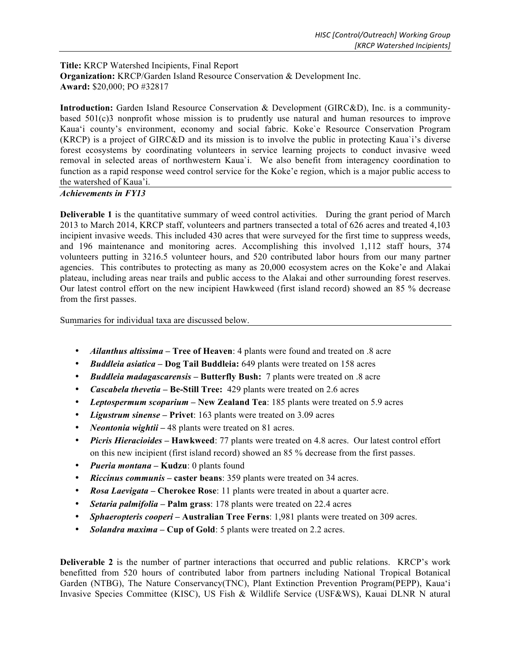**Title:** KRCP Watershed Incipients, Final Report **Organization:** KRCP/Garden Island Resource Conservation & Development Inc. **Award:** \$20,000; PO #32817

**Introduction:** Garden Island Resource Conservation & Development (GIRC&D), Inc. is a communitybased 501(c)3 nonprofit whose mission is to prudently use natural and human resources to improve Kaua'i county's environment, economy and social fabric. Koke`e Resource Conservation Program (KRCP) is a project of GIRC&D and its mission is to involve the public in protecting Kaua`i's diverse forest ecosystems by coordinating volunteers in service learning projects to conduct invasive weed removal in selected areas of northwestern Kaua`i. We also benefit from interagency coordination to function as a rapid response weed control service for the Koke'e region, which is a major public access to the watershed of Kaua'i.

## *Achievements in FY13*

**Deliverable 1** is the quantitative summary of weed control activities. During the grant period of March 2013 to March 2014, KRCP staff, volunteers and partners transected a total of 626 acres and treated 4,103 incipient invasive weeds. This included 430 acres that were surveyed for the first time to suppress weeds, and 196 maintenance and monitoring acres. Accomplishing this involved 1,112 staff hours, 374 volunteers putting in 3216.5 volunteer hours, and 520 contributed labor hours from our many partner agencies. This contributes to protecting as many as 20,000 ecosystem acres on the Koke'e and Alakai plateau, including areas near trails and public access to the Alakai and other surrounding forest reserves. Our latest control effort on the new incipient Hawkweed (first island record) showed an 85 % decrease from the first passes.

Summaries for individual taxa are discussed below.

- *Ailanthus altissima –* **Tree of Heaven**: 4 plants were found and treated on .8 acre
- *Buddleia asiatica* **– Dog Tail Buddleia:** 649 plants were treated on 158 acres
- *Buddleia madagascarensis* **– Butterfly Bush:** 7 plants were treated on .8 acre
- *Cascabela thevetia* **– Be-Still Tree:** 429 plants were treated on 2.6 acres
- *Leptospermum scoparium –* **New Zealand Tea**: 185 plants were treated on 5.9 acres
- *Ligustrum sinense –* **Privet**: 163 plants were treated on 3.09 acres
- *Neontonia wightii –* 48 plants were treated on 81 acres.
- *Picris Hieracioides –* **Hawkweed**: 77 plants were treated on 4.8 acres. Our latest control effort on this new incipient (first island record) showed an 85 % decrease from the first passes.
- *Pueria montana –* **Kudzu**: 0 plants found
- *Riccinus communis –* **caster beans**: 359 plants were treated on 34 acres.
- *Rosa Laevigata –* **Cherokee Rose**: 11 plants were treated in about a quarter acre.
- *Setaria palmifolia –* **Palm grass**: 178 plants were treated on 22.4 acres
- *Sphaeropteris cooperi –* **Australian Tree Ferns**: 1,981 plants were treated on 309 acres.
- *Solandra maxima –* **Cup of Gold**: 5 plants were treated on 2.2 acres.

**Deliverable 2** is the number of partner interactions that occurred and public relations. KRCP's work benefitted from 520 hours of contributed labor from partners including National Tropical Botanical Garden (NTBG), The Nature Conservancy(TNC), Plant Extinction Prevention Program(PEPP), Kauaʻi Invasive Species Committee (KISC), US Fish & Wildlife Service (USF&WS), Kauai DLNR N atural